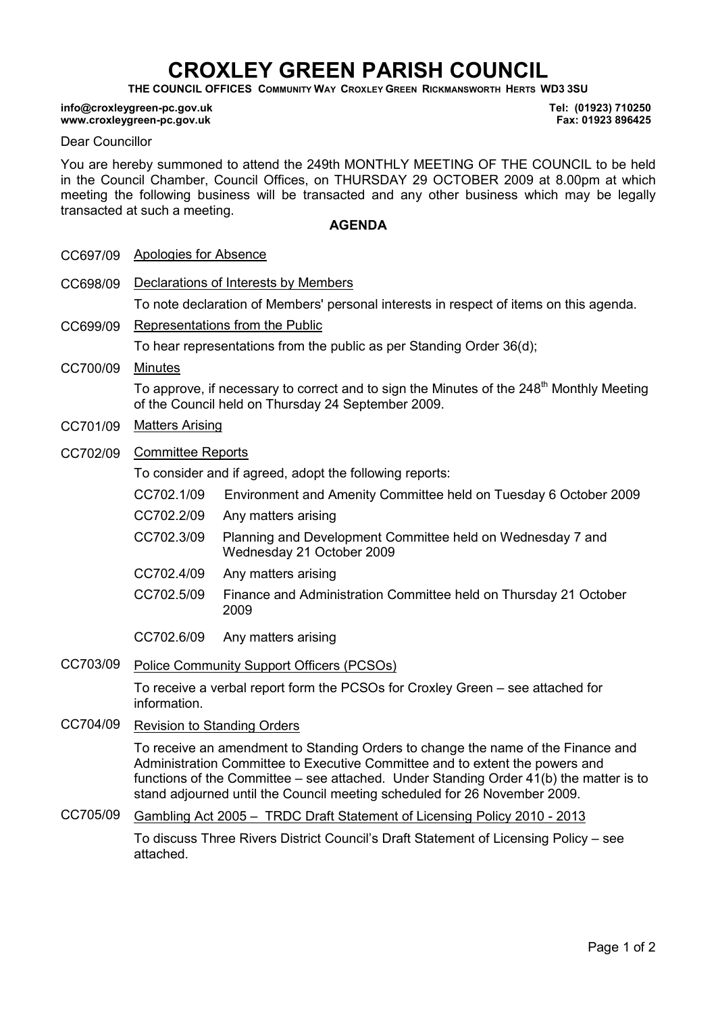# CROXLEY GREEN PARISH COUNCIL

THE COUNCIL OFFICES COMMUNITY WAY CROXLEY GREEN RICKMANSWORTH HERTS WD3 3SU

#### info@croxleygreen-pc.gov.uk www.croxleygreen-pc.gov.uk

Tel: (01923) 710250 Fax: 01923 896425

#### Dear Councillor

You are hereby summoned to attend the 249th MONTHLY MEETING OF THE COUNCIL to be held in the Council Chamber, Council Offices, on THURSDAY 29 OCTOBER 2009 at 8.00pm at which meeting the following business will be transacted and any other business which may be legally transacted at such a meeting.

### AGENDA

| CC697/09 | <b>Apologies for Absence</b>                                                                                                                                                                                                                                                                                                            |                                                                                         |  |
|----------|-----------------------------------------------------------------------------------------------------------------------------------------------------------------------------------------------------------------------------------------------------------------------------------------------------------------------------------------|-----------------------------------------------------------------------------------------|--|
| CC698/09 | Declarations of Interests by Members                                                                                                                                                                                                                                                                                                    |                                                                                         |  |
|          | To note declaration of Members' personal interests in respect of items on this agenda.                                                                                                                                                                                                                                                  |                                                                                         |  |
| CC699/09 | Representations from the Public                                                                                                                                                                                                                                                                                                         |                                                                                         |  |
|          | To hear representations from the public as per Standing Order 36(d);                                                                                                                                                                                                                                                                    |                                                                                         |  |
| CC700/09 | <b>Minutes</b>                                                                                                                                                                                                                                                                                                                          |                                                                                         |  |
|          | To approve, if necessary to correct and to sign the Minutes of the 248 <sup>th</sup> Monthly Meeting<br>of the Council held on Thursday 24 September 2009.                                                                                                                                                                              |                                                                                         |  |
| CC701/09 | <b>Matters Arising</b>                                                                                                                                                                                                                                                                                                                  |                                                                                         |  |
| CC702/09 | <b>Committee Reports</b>                                                                                                                                                                                                                                                                                                                |                                                                                         |  |
|          | To consider and if agreed, adopt the following reports:                                                                                                                                                                                                                                                                                 |                                                                                         |  |
|          | CC702.1/09                                                                                                                                                                                                                                                                                                                              | Environment and Amenity Committee held on Tuesday 6 October 2009                        |  |
|          | CC702.2/09                                                                                                                                                                                                                                                                                                                              | Any matters arising                                                                     |  |
|          | CC702.3/09                                                                                                                                                                                                                                                                                                                              | Planning and Development Committee held on Wednesday 7 and<br>Wednesday 21 October 2009 |  |
|          | CC702.4/09                                                                                                                                                                                                                                                                                                                              | Any matters arising                                                                     |  |
|          | CC702.5/09                                                                                                                                                                                                                                                                                                                              | Finance and Administration Committee held on Thursday 21 October<br>2009                |  |
|          | CC702.6/09                                                                                                                                                                                                                                                                                                                              | Any matters arising                                                                     |  |
| CC703/09 | Police Community Support Officers (PCSOs)                                                                                                                                                                                                                                                                                               |                                                                                         |  |
|          | To receive a verbal report form the PCSOs for Croxley Green – see attached for<br>information.                                                                                                                                                                                                                                          |                                                                                         |  |
| CC704/09 | <b>Revision to Standing Orders</b>                                                                                                                                                                                                                                                                                                      |                                                                                         |  |
|          | To receive an amendment to Standing Orders to change the name of the Finance and<br>Administration Committee to Executive Committee and to extent the powers and<br>functions of the Committee – see attached. Under Standing Order 41(b) the matter is to<br>stand adjourned until the Council meeting scheduled for 26 November 2009. |                                                                                         |  |
| CC705/09 | Gambling Act 2005 - TRDC Draft Statement of Licensing Policy 2010 - 2013                                                                                                                                                                                                                                                                |                                                                                         |  |

To discuss Three Rivers District Council's Draft Statement of Licensing Policy – see attached.